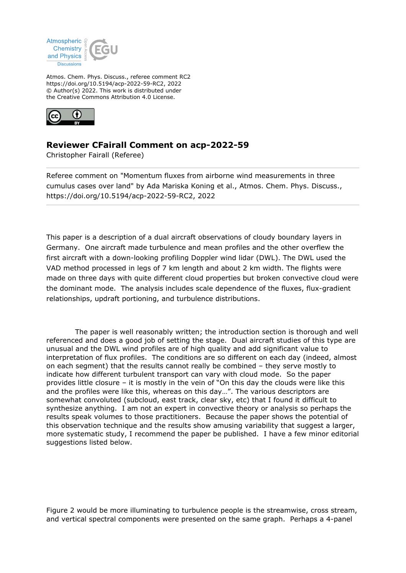

Atmos. Chem. Phys. Discuss., referee comment RC2 https://doi.org/10.5194/acp-2022-59-RC2, 2022 © Author(s) 2022. This work is distributed under the Creative Commons Attribution 4.0 License.



## **Reviewer CFairall Comment on acp-2022-59**

Christopher Fairall (Referee)

Referee comment on "Momentum fluxes from airborne wind measurements in three cumulus cases over land" by Ada Mariska Koning et al., Atmos. Chem. Phys. Discuss., https://doi.org/10.5194/acp-2022-59-RC2, 2022

This paper is a description of a dual aircraft observations of cloudy boundary layers in Germany. One aircraft made turbulence and mean profiles and the other overflew the first aircraft with a down-looking profiling Doppler wind lidar (DWL). The DWL used the VAD method processed in legs of 7 km length and about 2 km width. The flights were made on three days with quite different cloud properties but broken convective cloud were the dominant mode. The analysis includes scale dependence of the fluxes, flux-gradient relationships, updraft portioning, and turbulence distributions.

 The paper is well reasonably written; the introduction section is thorough and well referenced and does a good job of setting the stage. Dual aircraft studies of this type are unusual and the DWL wind profiles are of high quality and add significant value to interpretation of flux profiles. The conditions are so different on each day (indeed, almost on each segment) that the results cannot really be combined – they serve mostly to indicate how different turbulent transport can vary with cloud mode. So the paper provides little closure – it is mostly in the vein of "On this day the clouds were like this and the profiles were like this, whereas on this day…". The various descriptors are somewhat convoluted (subcloud, east track, clear sky, etc) that I found it difficult to synthesize anything. I am not an expert in convective theory or analysis so perhaps the results speak volumes to those practitioners. Because the paper shows the potential of this observation technique and the results show amusing variability that suggest a larger, more systematic study, I recommend the paper be published. I have a few minor editorial suggestions listed below.

Figure 2 would be more illuminating to turbulence people is the streamwise, cross stream, and vertical spectral components were presented on the same graph. Perhaps a 4-panel